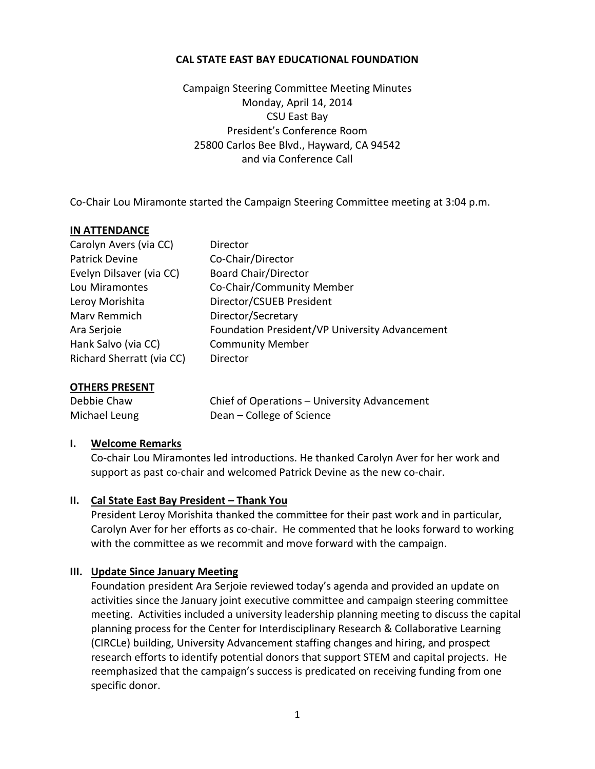#### **CAL STATE EAST BAY EDUCATIONAL FOUNDATION**

Campaign Steering Committee Meeting Minutes Monday, April 14, 2014 CSU East Bay President's Conference Room 25800 Carlos Bee Blvd., Hayward, CA 94542 and via Conference Call

Co-Chair Lou Miramonte started the Campaign Steering Committee meeting at 3:04 p.m.

#### **IN ATTENDANCE**

| Carolyn Avers (via CC)    | Director                                       |
|---------------------------|------------------------------------------------|
| <b>Patrick Devine</b>     | Co-Chair/Director                              |
| Evelyn Dilsaver (via CC)  | <b>Board Chair/Director</b>                    |
| Lou Miramontes            | Co-Chair/Community Member                      |
| Leroy Morishita           | Director/CSUEB President                       |
| Marv Remmich              | Director/Secretary                             |
| Ara Serjoie               | Foundation President/VP University Advancement |
| Hank Salvo (via CC)       | <b>Community Member</b>                        |
| Richard Sherratt (via CC) | Director                                       |
|                           |                                                |

#### **OTHERS PRESENT**

Debbie Chaw Chief of Operations – University Advancement Michael Leung Dean – College of Science

#### **I. Welcome Remarks**

Co-chair Lou Miramontes led introductions. He thanked Carolyn Aver for her work and support as past co-chair and welcomed Patrick Devine as the new co-chair.

#### **II. Cal State East Bay President – Thank You**

President Leroy Morishita thanked the committee for their past work and in particular, Carolyn Aver for her efforts as co-chair. He commented that he looks forward to working with the committee as we recommit and move forward with the campaign.

#### **III. Update Since January Meeting**

Foundation president Ara Serjoie reviewed today's agenda and provided an update on activities since the January joint executive committee and campaign steering committee meeting. Activities included a university leadership planning meeting to discuss the capital planning process for the Center for Interdisciplinary Research & Collaborative Learning (CIRCLe) building, University Advancement staffing changes and hiring, and prospect research efforts to identify potential donors that support STEM and capital projects. He reemphasized that the campaign's success is predicated on receiving funding from one specific donor.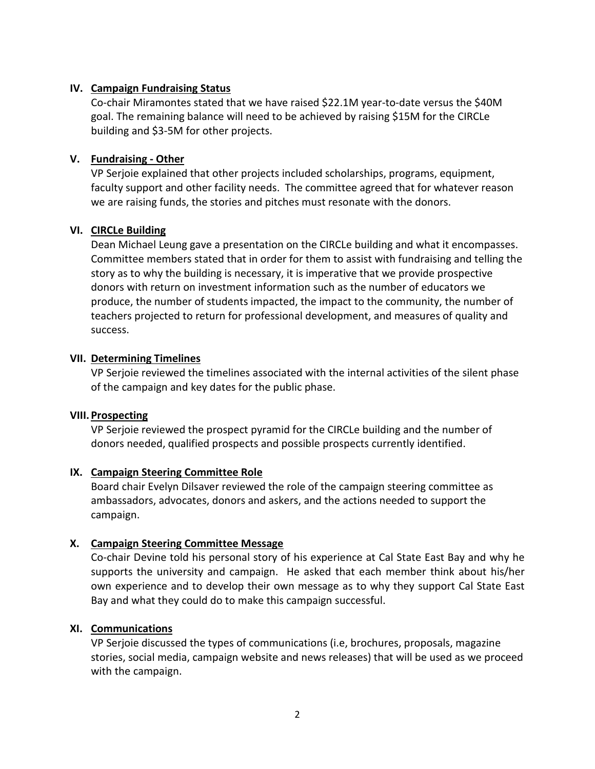### **IV. Campaign Fundraising Status**

Co-chair Miramontes stated that we have raised \$22.1M year-to-date versus the \$40M goal. The remaining balance will need to be achieved by raising \$15M for the CIRCLe building and \$3-5M for other projects.

## **V. Fundraising - Other**

VP Serjoie explained that other projects included scholarships, programs, equipment, faculty support and other facility needs. The committee agreed that for whatever reason we are raising funds, the stories and pitches must resonate with the donors.

#### **VI. CIRCLe Building**

Dean Michael Leung gave a presentation on the CIRCLe building and what it encompasses. Committee members stated that in order for them to assist with fundraising and telling the story as to why the building is necessary, it is imperative that we provide prospective donors with return on investment information such as the number of educators we produce, the number of students impacted, the impact to the community, the number of teachers projected to return for professional development, and measures of quality and success.

## **VII. Determining Timelines**

VP Serjoie reviewed the timelines associated with the internal activities of the silent phase of the campaign and key dates for the public phase.

#### **VIII. Prospecting**

VP Serjoie reviewed the prospect pyramid for the CIRCLe building and the number of donors needed, qualified prospects and possible prospects currently identified.

#### **IX. Campaign Steering Committee Role**

Board chair Evelyn Dilsaver reviewed the role of the campaign steering committee as ambassadors, advocates, donors and askers, and the actions needed to support the campaign.

# **X. Campaign Steering Committee Message**

Co-chair Devine told his personal story of his experience at Cal State East Bay and why he supports the university and campaign. He asked that each member think about his/her own experience and to develop their own message as to why they support Cal State East Bay and what they could do to make this campaign successful.

#### **XI. Communications**

VP Serjoie discussed the types of communications (i.e, brochures, proposals, magazine stories, social media, campaign website and news releases) that will be used as we proceed with the campaign.